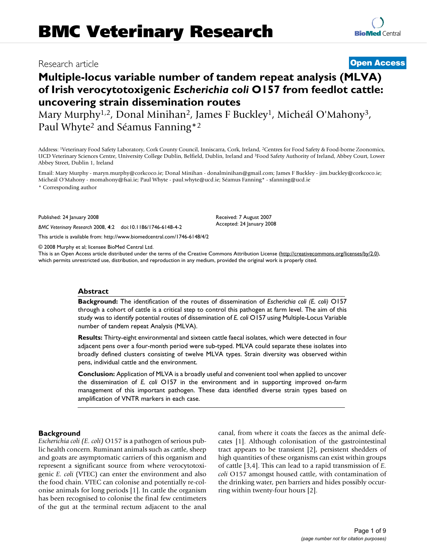# Research article **[Open Access](http://www.biomedcentral.com/info/about/charter/)**

# **Multiple-locus variable number of tandem repeat analysis (MLVA) of Irish verocytotoxigenic** *Escherichia coli* **O157 from feedlot cattle: uncovering strain dissemination routes**

Mary Murphy1,2, Donal Minihan2, James F Buckley1, Micheál O'Mahony3, Paul Whyte<sup>2</sup> and Séamus Fanning<sup>\*2</sup>

Address: 1Veterinary Food Safety Laboratory, Cork County Council, Inniscarra, Cork, Ireland, 2Centres for Food Safety & Food-borne Zoonomics, UCD Veterinary Sciences Centre, University College Dublin, Belfield, Dublin, Ireland and 3Food Safety Authority of Ireland, Abbey Court, Lower Abbey Street, Dublin 1, Ireland

Email: Mary Murphy - maryn.murphy@corkcoco.ie; Donal Minihan - donalminihan@gmail.com; James F Buckley - jim.buckley@corkcoco.ie; Micheál O'Mahony - momahony@fsai.ie; Paul Whyte - paul.whyte@ucd.ie; Séamus Fanning\* - sfanning@ucd.ie

> Received: 7 August 2007 Accepted: 24 January 2008

\* Corresponding author

Published: 24 January 2008

*BMC Veterinary Research* 2008, **4**:2 doi:10.1186/1746-6148-4-2

[This article is available from: http://www.biomedcentral.com/1746-6148/4/2](http://www.biomedcentral.com/1746-6148/4/2)

© 2008 Murphy et al; licensee BioMed Central Ltd.

This is an Open Access article distributed under the terms of the Creative Commons Attribution License [\(http://creativecommons.org/licenses/by/2.0\)](http://creativecommons.org/licenses/by/2.0), which permits unrestricted use, distribution, and reproduction in any medium, provided the original work is properly cited.

#### **Abstract**

**Background:** The identification of the routes of dissemination of *Escherichia coli (E. coli)* O157 through a cohort of cattle is a critical step to control this pathogen at farm level. The aim of this study was to identify potential routes of dissemination of *E. coli* O157 using Multiple-Locus Variable number of tandem repeat Analysis (MLVA).

**Results:** Thirty-eight environmental and sixteen cattle faecal isolates, which were detected in four adjacent pens over a four-month period were sub-typed. MLVA could separate these isolates into broadly defined clusters consisting of twelve MLVA types. Strain diversity was observed within pens, individual cattle and the environment.

**Conclusion:** Application of MLVA is a broadly useful and convenient tool when applied to uncover the dissemination of *E. coli* O157 in the environment and in supporting improved on-farm management of this important pathogen. These data identified diverse strain types based on amplification of VNTR markers in each case.

# **Background**

*Escherichia coli (E. coli)* O157 is a pathogen of serious public health concern. Ruminant animals such as cattle, sheep and goats are asymptomatic carriers of this organism and represent a significant source from where verocytotoxigenic *E. coli* (VTEC) can enter the environment and also the food chain. VTEC can colonise and potentially re-colonise animals for long periods [1]. In cattle the organism has been recognised to colonise the final few centimeters of the gut at the terminal rectum adjacent to the anal

canal, from where it coats the faeces as the animal defecates [1]. Although colonisation of the gastrointestinal tract appears to be transient [2], persistent shedders of high quantities of these organisms can exist within groups of cattle [3,4]. This can lead to a rapid transmission of *E. coli* O157 amongst housed cattle, with contamination of the drinking water, pen barriers and hides possibly occurring within twenty-four hours [2].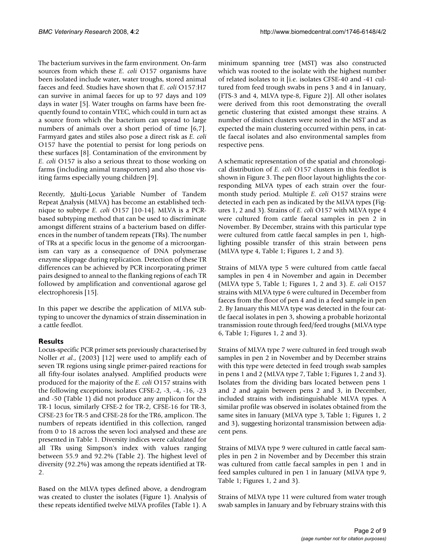The bacterium survives in the farm environment. On-farm sources from which these *E. coli* O157 organisms have been isolated include water, water troughs, stored animal faeces and feed. Studies have shown that *E. coli* O157:H7 can survive in animal faeces for up to 97 days and 109 days in water [5]. Water troughs on farms have been frequently found to contain VTEC, which could in turn act as a source from which the bacterium can spread to large numbers of animals over a short period of time [6,7]. Farmyard gates and stiles also pose a direct risk as *E. coli* O157 have the potential to persist for long periods on these surfaces [8]. Contamination of the environment by *E. coli* O157 is also a serious threat to those working on farms (including animal transporters) and also those visiting farms especially young children [9].

Recently, Multi-Locus Variable Number of Tandem Repeat Analysis (MLVA) has become an established technique to subtype *E. coli* O157 [10-14]. MLVA is a PCRbased subtyping method that can be used to discriminate amongst different strains of a bacterium based on differences in the number of tandem repeats (TRs). The number of TRs at a specific locus in the genome of a microorganism can vary as a consequence of DNA polymerase enzyme slippage during replication. Detection of these TR differences can be achieved by PCR incorporating primer pairs designed to anneal to the flanking regions of each TR followed by amplification and conventional agarose gel electrophoresis [15].

In this paper we describe the application of MLVA subtyping to uncover the dynamics of strain dissemination in a cattle feedlot.

# **Results**

Locus-specific PCR primer sets previously characterised by Noller *et al*., (2003) [12] were used to amplify each of seven TR regions using single primer-paired reactions for all fifty-four isolates analysed. Amplified products were produced for the majority of the *E. coli* O157 strains with the following exceptions; isolates CFSE-2, -3, -4, -16, -23 and -50 (Table 1) did not produce any amplicon for the TR-1 locus, similarly CFSE-2 for TR-2, CFSE-16 for TR-3, CFSE-23 for TR-5 and CFSE-28 for the TR6, amplicon. The numbers of repeats identified in this collection, ranged from 0 to 18 across the seven loci analysed and these are presented in Table 1. Diversity indices were calculated for all TRs using Simpson's index with values ranging between 55.9 and 92.2% (Table 2). The highest level of diversity (92.2%) was among the repeats identified at TR- $\mathfrak{D}$ .

Based on the MLVA types defined above, a dendrogram was created to cluster the isolates (Figure 1). Analysis of these repeats identified twelve MLVA profiles (Table 1). A

minimum spanning tree (MST) was also constructed which was rooted to the isolate with the highest number of related isolates to it [i.e. isolates CFSE-40 and -41 cultured from feed trough swabs in pens 3 and 4 in January, (FTS-3 and 4, MLVA type-8, Figure 2)]. All other isolates were derived from this root demonstrating the overall genetic clustering that existed amongst these strains. A number of distinct clusters were noted in the MST and as expected the main clustering occurred within pens, in cattle faecal isolates and also environmental samples from respective pens.

A schematic representation of the spatial and chronological distribution of *E. coli* O157 clusters in this feedlot is shown in Figure 3. The pen floor layout highlights the corresponding MLVA types of each strain over the fourmonth study period. Multiple *E. coli* O157 strains were detected in each pen as indicated by the MLVA types (Figures 1, 2 and 3). Strains of *E. coli* O157 with MLVA type 4 were cultured from cattle faecal samples in pen 2 in November. By December, strains with this particular type were cultured from cattle faecal samples in pen 1, highlighting possible transfer of this strain between pens (MLVA type 4, Table 1; Figures 1, 2 and 3).

Strains of MLVA type 5 were cultured from cattle faecal samples in pen 4 in November and again in December (MLVA type 5, Table 1; Figures 1, 2 and 3). *E. coli* O157 strains with MLVA type 6 were cultured in December from faeces from the floor of pen 4 and in a feed sample in pen 2. By January this MLVA type was detected in the four cattle faecal isolates in pen 3, showing a probable horizontal transmission route through feed/feed troughs (MLVA type 6, Table 1; Figures 1, 2 and 3).

Strains of MLVA type 7 were cultured in feed trough swab samples in pen 2 in November and by December strains with this type were detected in feed trough swab samples in pens 1 and 2 (MLVA type 7, Table 1; Figures 1, 2 and 3). Isolates from the dividing bars located between pens 1 and 2 and again between pens 2 and 3, in December, included strains with indistinguishable MLVA types. A similar profile was observed in isolates obtained from the same sites in January (MLVA type 3, Table 1; Figures 1, 2 and 3), suggesting horizontal transmission between adjacent pens.

Strains of MLVA type 9 were cultured in cattle faecal samples in pen 2 in November and by December this strain was cultured from cattle faecal samples in pen 1 and in feed samples cultured in pen 1 in January (MLVA type 9, Table 1; Figures 1, 2 and 3).

Strains of MLVA type 11 were cultured from water trough swab samples in January and by February strains with this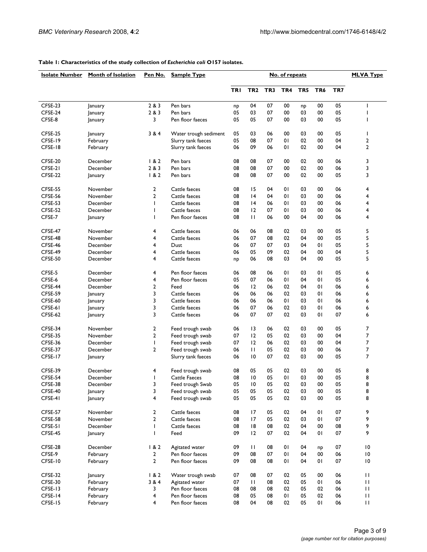| <b>Isolate Number</b> | <b>Month of Isolation</b> | Pen No.        | <b>Sample Type</b>    | No. of repeats |                 |                 |                 | <b>MLVA Type</b> |                 |     |                 |
|-----------------------|---------------------------|----------------|-----------------------|----------------|-----------------|-----------------|-----------------|------------------|-----------------|-----|-----------------|
|                       |                           |                |                       | <b>TRI</b>     | TR <sub>2</sub> | TR <sub>3</sub> | TR <sub>4</sub> | TR <sub>5</sub>  | TR <sub>6</sub> | TR7 |                 |
| CFSE-23               | January                   | 2 & 3          | Pen bars              | np             | 04              | 07              | 00              | np               | 00              | 05  | T               |
| CFSE-24               | January                   | 2 & 3          | Pen bars              | 05             | 03              | 07              | 00              | 03               | 00              | 05  |                 |
| CFSE-8                | January                   | 3              | Pen floor faeces      | 05             | 05              | 07              | 00              | 03               | 00              | 05  | L               |
| CFSE-25               | January                   | 3 & 4          | Water trough sediment | 05             | 03              | 06              | 00              | 03               | 00              | 05  | T               |
| CFSE-19               | February                  |                | Slurry tank faeces    | 05             | 08              | 07              | 01              | 02               | 00              | 04  | 2               |
| CFSE-18               | February                  |                | Slurry tank faeces    | 06             | 09              | 06              | 01              | 02               | 00              | 04  | 2               |
| CFSE-20               | December                  | 182            | Pen bars              | 08             | 08              | 07              | 00              | 02               | 00              | 06  | 3               |
| CFSE-21               | December                  | 2 & 3          | Pen bars              | 08             | 08              | 07              | 00              | 02               | 00              | 06  | 3               |
| CFSE-22               | January                   | 182            | Pen bars              | 08             | 08              | 07              | 00              | 02               | 00              | 05  | 3               |
| CFSE-55               | November                  | $\overline{2}$ | Cattle faeces         | 08             | 15              | 04              | 01              | 03               | 00              | 06  | 4               |
| CFSE-56               | November                  | $\overline{2}$ | Cattle faeces         | 08             | 4               | 04              | 01              | 03               | 00              | 06  | 4               |
| CFSE-53               | December                  | T              | Cattle faeces         | 08             | 4               | 06              | 01              | 03               | 00              | 06  | 4               |
| CFSE-52               | December                  | T              | Cattle faeces         | 08             | 12              | 07              | 01              | 03               | 00              | 06  | 4               |
| CFSE-7                | January                   | ı              | Pen floor faeces      | 08             | П               | 06              | 00              | 04               | 00              | 06  | 4               |
| CFSE-47               | November                  | 4              | Cattle faeces         | 06             | 06              | 08              | 02              | 03               | 00              | 05  | 5               |
| CFSE-48               | November                  | 4              | Cattle faeces         | 06             | 07              | 08              | 02              | 04               | 00              | 05  | 5               |
| CFSE-46               | December                  | 4              | <b>Dust</b>           | 06             | 07              | 07              | 03              | 04               | 01              | 05  | 5               |
| CFSE-49               | December                  | 4              | Cattle faeces         | 06             | 05              | 09              | 02              | 04               | 00              | 04  | 5               |
| CFSE-50               | December                  | 4              | Cattle faeces         | np             | 06              | 08              | 03              | 04               | 00              | 05  | 5               |
| CFSE-5                | December                  | 4              | Pen floor faeces      | 06             | 08              | 06              | 01              | 03               | 01              | 05  | 6               |
| CFSE-6                | December                  | $\overline{4}$ | Pen floor faeces      | 05             | 07              | 06              | 01              | 04               | 01              | 05  | 6               |
| CFSE-44               | December                  | $\overline{2}$ | Feed                  | 06             | 12              | 06              | 02              | 04               | 01              | 06  | 6               |
| CFSE-59               | January                   | 3              | Cattle faeces         | 06             | 06              | 06              | 02              | 03               | 01              | 06  | 6               |
| CFSE-60               | January                   | 3              | Cattle faeces         | 06             | 06              | 06              | 01              | 03               | 01              | 06  | 6               |
| CFSE-61               | January                   | 3              | Cattle faeces         | 06             | 07              | 06              | 02              | 03               | 01              | 06  | 6               |
| CFSE-62               | January                   | 3              | Cattle faeces         | 06             | 07              | 07              | 02              | 03               | 01              | 07  | 6               |
| CFSE-34               | November                  | $\overline{2}$ | Feed trough swab      | 06             | $\overline{13}$ | 06              | 02              | 03               | 00              | 05  | 7               |
| CFSE-35               | November                  | $\overline{2}$ | Feed trough swab      | 07             | 12              | 05              | 02              | 03               | 00              | 04  | 7               |
| CFSE-36               | December                  | T              | Feed trough swab      | 07             | 12              | 06              | 02              | 03               | 00              | 04  | 7               |
| CFSE-37               | December                  | $\overline{2}$ | Feed trough swab      | 06             | $\mathbf{H}$    | 05              | 02              | 03               | 00              | 06  | 7               |
| CFSE-17               | January                   |                | Slurry tank faeces    | 06             | $\overline{10}$ | 07              | 02              | 03               | 00              | 05  | 7               |
| CFSE-39               | December                  | 4              | Feed trough swab      | 08             | 05              | 05              | 02              | 03               | 00              | 05  | 8               |
| CFSE-54               | December                  | T              | Cattle Faeces         | 08             | 10              | 05              | 01              | 03               | 00              | 05  | 8               |
| CFSE-38               | December                  | 3              | Feed trough Swab      | 05             | $\,10$          | 05              | 02              | 03               | 00              | 05  | 8               |
| CFSE-40               | January                   | 3              | Feed trough swab      | 05             | 05              | 05              | 02              | 03               | 00              | 05  | 8               |
| CFSE-41               | January                   | $\overline{4}$ | Feed trough swab      | 05             | 05              | 05              | 02              | 03               | 00              | 05  | 8               |
| CFSE-57               | November                  | $\overline{2}$ | Cattle faeces         | 08             | 17              | 05              | 02              | 04               | 01              | 07  | 9               |
| CFSE-58               | November                  | $\overline{2}$ | Cattle faeces         | 08             | 17              | 05              | 02              | 03               | 01              | 07  | 9               |
| CFSE-51               | December                  | $\mathbf{I}$   | Cattle faeces         | 08             | 8               | 08              | 02              | 04               | 00              | 08  | 9               |
| CFSE-45               | January                   | $\mathbf{I}$   | Feed                  | 09             | 12              | 07              | 02              | 04               | 01              | 07  | 9               |
| CFSE-28               | December                  | 182            | Agitated water        | 09             | Ħ               | 08              | 01              | 04               | np              | 07  | 10              |
| CFSE-9                | February                  | $\mathbf{2}$   | Pen floor faeces      | 09             | 08              | 07              | 01              | 04               | 00              | 06  | 10              |
| CFSE-10               | February                  | $\overline{2}$ | Pen floor faeces      | 09             | 08              | 08              | 01              | 04               | 01              | 07  | $\overline{10}$ |
| CFSE-32               | January                   | 182            | Water trough swab     | 07             | 08              | 07              | 02              | 05               | 00              | 06  | П               |
| CFSE-30               | February                  | 3 & 4          | Agitated water        | 07             | $\mathbf{H}$    | 08              | 02              | 05               | 01              | 06  | $\mathbf{H}$    |
| CFSE-13               | February                  | 3              | Pen floor faeces      | 08             | 08              | 08              | 02              | 05               | 02              | 06  | $\mathbf{H}$    |
| CFSE-14               | February                  | 4              | Pen floor faeces      | 08             | 05              | 08              | 01              | 05               | 02              | 06  | $\mathbf{H}$    |
| CFSE-15               | February                  | 4              | Pen floor faeces      | 08             | 04              | 08              | 02              | 05               | 01              | 06  | $\mathbf{H}$    |

#### **Table 1: Characteristics of the study collection of** *Escherichia coli* **O157 isolates.**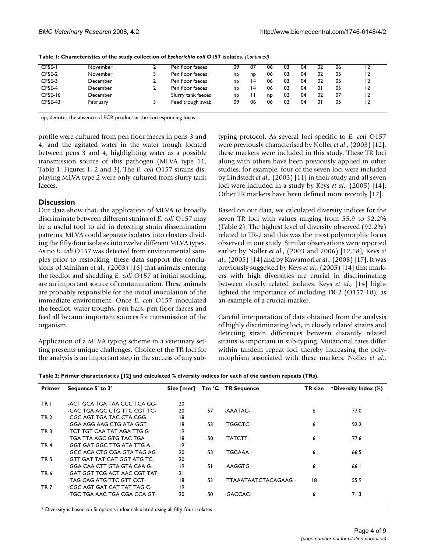| CFSE-I  | November | Pen floor faeces   | 09 | 07 | 06 | 03 | 04 | 02  | 06 |    |
|---------|----------|--------------------|----|----|----|----|----|-----|----|----|
| CFSE-2  | November | Pen floor faeces   | np | np | 06 | 03 | 04 | 02  | 05 |    |
| CFSE-3  | December | Pen floor faeces   | np | 14 | 06 | 03 | 04 | 02  | 05 |    |
| CFSE-4  | December | Pen floor faeces   | np | 14 | 06 | 02 | 04 | -01 | 05 | 12 |
| CFSE-16 | December | Slurry tank faeces | np |    | np | 02 | 04 | 02  | 07 |    |
| CFSE-43 | February | Feed trough swab   | 09 | 06 | 06 | 02 | 04 | 01  | 05 |    |
|         |          |                    |    |    |    |    |    |     |    |    |

**Table 1: Characteristics of the study collection of** *Escherichia coli* **O157 isolates.** *(Continued)*

np, denotes the absence of PCR product at the corresponding locus.

profile were cultured from pen floor faeces in pens 3 and 4, and the agitated water in the water trough located between pens 3 and 4, highlighting water as a possible transmission source of this pathogen (MLVA type 11, Table 1; Figures 1, 2 and 3). The *E. coli* O157 strains displaying MLVA type 2 were only cultured from slurry tank faeces.

# **Discussion**

Our data show that, the application of MLVA to broadly discriminate between different strains of *E. coli* O157 may be a useful tool to aid in detecting strain dissemination patterns. MLVA could separate isolates into clusters dividing the fifty-four isolates into twelve different MLVA types. As no *E. coli* O157 was detected from environmental samples prior to restocking, these data support the conclusions of Minihan et al., (2003) [16] that animals entering the feedlot and shedding *E. coli* O157 at initial stocking, are an important source of contamination. These animals are probably responsible for the initial inoculation of the immediate environment. Once *E. coli* O157 inoculated the feedlot, water troughs, pen bars, pen floor faeces and feed all became important sources for transmission of the organism.

Application of a MLVA typing scheme in a veterinary setting presents unique challenges. Choice of the TR loci for the analysis is an important step in the success of any subtyping protocol. As several loci specific to *E. coli* O157 were previously characterised by Noller *et al*., (2003) [12], these markers were included in this study. These TR loci along with others have been previously applied in other studies, for example, four of the seven loci were included by Lindstedt *et al*., (2003) [11] in their study and all seven loci were included in a study by Keys *et al*., (2005) [14]. Other TR markers have been defined more recently [17].

Based on our data, we calculated diversity indices for the seven TR loci with values ranging from 55.9 to 92.2% (Table 2). The highest level of diversity observed (92.2%) related to TR-2 and this was the most polymorphic locus observed in our study. Similar observations were reported earlier by Noller *et al*., (2003 and 2006) [12,18], Keys *et al*., (2005) [14] and by Kawamori *et al*., (2008) [17]. It was previously suggested by Keys *et al*., (2005) [14] that markers with high diversities are crucial in discriminating between closely related isolates. Keys *et al*., [14] highlighted the importance of including TR-2 (O157-10), as an example of a crucial marker.

Careful interpretation of data obtained from the analysis of highly discriminating loci, in closely related strains and detecting strain differences between distantly related strains is important in sub-typing. Mutational rates differ within tandem repeat loci thereby increasing the polymorphism associated with these markers. Noller *et al*.,

**Table 2: Primer characteristics [12] and calculated % diversity indices for each of the tandem repeats (TRs).**

| <b>Primer</b>   | Sequence 5' to 3'             |    |     | Size [mer] Tm °C TR Sequence | TR size | *Diversity Index (%) |
|-----------------|-------------------------------|----|-----|------------------------------|---------|----------------------|
| TR I            | -ACT GCA TGA TAA GCC TCA GG-  | 20 |     |                              |         |                      |
|                 | -CAC TGA AGC CTG TTC CGT TC-  | 20 | 57  | -AAATAG-                     | 6       | 77.0                 |
| <b>TR 2</b>     | -CGC AGT TGA TAC CTA CGG -    | 18 |     |                              |         |                      |
|                 | -GGA AGG AAG CTG ATA GGT -    | 18 | 53  | -TGGCTC-                     | 6       | 92.2                 |
| TR <sub>3</sub> | -TCT TGT CAA TAT AGA TTG G-   | 19 |     |                              |         |                      |
|                 | -TGA TTA AGC GTG TAC TGA -    | 18 | 50  | -TATCTT-                     | 6       | 77.6                 |
| <b>TR4</b>      | -GGT GAT GGC TTG ATA TTG A-   | 19 |     |                              |         |                      |
|                 | -GCC ACA CTG CGA GTA TAG AG-  | 20 | 53  | -TGCAAA -                    | 6       | 66.5                 |
| TR <sub>5</sub> | -GTT GAT TAT CAT GGT ATG TC-  | 20 |     |                              |         |                      |
|                 | -GGA CAA CTT GTA GTA CAA G-   | 19 | 51  | -AAGGTG -                    | 6       | 66.1                 |
| <b>TR 6</b>     | -GAT GGT TCG ACT AAC CGT TAT- | 21 |     |                              |         |                      |
|                 | -TAG CAG ATG TTC GTT CCT-     | 18 | 53. | -TTAAATAATCTACAGAAG -        | 18      | 55.9                 |
| <b>TR 7</b>     | -CGC AGT GAT CAT TAT TAG C-   | 19 |     |                              |         |                      |
|                 | -TGC TGA AAC TGA CGA CCA GT-  | 20 | 50  | -GACCAC-                     | 6       | 71.3                 |

\* Diversity is based on Simpson's index calculated using all fifty-four isolates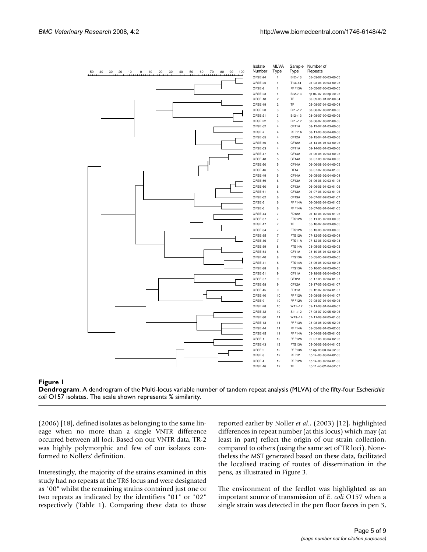| 100<br>-50<br>$-40 -30$<br>$-20$<br>$-10$<br>0<br>10<br>20<br>30<br>40<br>50<br>60<br>70<br>80<br>90<br>سد | Isolate<br>Number | <b>MLVA</b><br>Type      | Sample<br>Type | Number of<br>Repeats  |
|------------------------------------------------------------------------------------------------------------|-------------------|--------------------------|----------------|-----------------------|
|                                                                                                            | CFSE-24           | $\mathbf{1}$             | $B12 + 13$     | 05-03-07-00-03-00-05  |
|                                                                                                            | CFSE-25           | 1                        | $T13 + 14$     | 05-03-06-00-03-00-05  |
|                                                                                                            | CFSE-8            | 1                        | PFF13A         | 05-05-07-00-03-00-05  |
|                                                                                                            | CFSE-23           | $\mathbf{1}$             | $B12 + 13$     | np-04 -07-00-np-00-05 |
|                                                                                                            | CFSE-18           | $\overline{c}$           | TF             | 06-09-06-01-02-00-04  |
|                                                                                                            | CFSE-19           | $\overline{c}$           | TF             | 05-08-07-01-02-00-04  |
|                                                                                                            | CFSE-20           | 3                        | B11+12         | 08-08-07-00-02-00-06  |
|                                                                                                            | CFSE-21           | 3                        | $B12 + 13$     | 08-08-07-00-02-00-06  |
|                                                                                                            | CFSE-22           | 3                        | B11+12         | 08-08-07-00-02-00-05  |
|                                                                                                            | CFSE-52           | $\sqrt{4}$               | CF11A          | 08-12-07-01-03-00-06  |
|                                                                                                            | CFSE-7            | $\overline{4}$           | PFF11A         | 08-11-06-00-04-00-06  |
|                                                                                                            | CFSE-55           | 4                        | CF12A          | 08-15-04-01-03-00-06  |
|                                                                                                            | CFSE-56           | $\overline{4}$           | CF12A          | 08-14-04-01-03-00-06  |
|                                                                                                            | CFSE-53           | $\sqrt{4}$               | CF11A          | 08-14-06-01-03-00-06  |
|                                                                                                            | CFSE-47           | 5                        | CF14A          | 06-06-08-02-03-00-05  |
|                                                                                                            | CFSE-48           | 5                        | CF14A          | 06-07-08-02-04-00-05  |
|                                                                                                            | CFSE-50           | 5                        | CF14A          | 06-06-08-03-04-00-05  |
|                                                                                                            | CFSE-46           | 5                        | DT14           | 06-07-07-03-04-01-05  |
|                                                                                                            | CFSE-49           | 5                        | CF14A          | 06-05-09-02-04-00-04  |
|                                                                                                            | CFSE-59           | 6                        | CF13A          | 06-06-06-02-03-01-06  |
|                                                                                                            | CFSE-60           | 6                        | CF13A          | 06-06-06-01-03-01-06  |
|                                                                                                            | CFSE-61           | 6                        | CF13A          | 06-07-06-02-03-01-06  |
|                                                                                                            | CFSE-62           | 6                        | CF13A          | 06-07-07-02-03-01-07  |
|                                                                                                            | CFSE-5            | 6                        | PFF14A         | 06-08-06-01-03-01-05  |
|                                                                                                            | CFSE-6            | 6                        | PFF14A         | 05-07-06-01-04-01-05  |
|                                                                                                            | CFSE-44           | $\overline{\phantom{a}}$ | FD12A          | 06-12-06-02-04-01-06  |
|                                                                                                            | CFSE-37           | $\overline{7}$           | FTS12A         | 06-11-05-02-03-00-06  |
|                                                                                                            | CFSE-17           | $\overline{\phantom{a}}$ | TF             | 06-10-07-02-03-00-05  |
|                                                                                                            | CFSE-34           | $\overline{\phantom{a}}$ | FTS12A         | 06-13-06-02-03-00-05  |
|                                                                                                            | CFSE-35           | $\overline{7}$           | FTS12A         | 07-12-05-02-03-00-04  |
|                                                                                                            | CFSE-36           | $\overline{\phantom{a}}$ | FTS11A         | 07-12-06-02-03-00-04  |
|                                                                                                            | CFSE-39           | 8                        | FTS14A         | 08-05-05-02-03-00-05  |
|                                                                                                            | CFSE-54           | 8                        | CF11A          | 08-10-05-01-03-00-05  |
|                                                                                                            | CFSE-40           | 8                        | FTS13A         | 05-05-05-02-03-00-05  |
|                                                                                                            | CFSE-41           | 8                        | FTS14A         | 05-05-05-02-03-00-05  |
|                                                                                                            | CFSE-38           | 8                        | FTS13A         | 05-10-05-02-03-00-05  |
|                                                                                                            | CFSE-51           | $\boldsymbol{9}$         | CF11A          | 08-18-08-02-04-00-08  |
|                                                                                                            | CFSE-57           | $\boldsymbol{9}$         | CF12A          | 08-17-05-02-04-01-07  |
|                                                                                                            | CFSE-58           | $\boldsymbol{9}$         | CF12A          | 08-17-05-02-03-01-07  |
|                                                                                                            | CFSE-45           | $\boldsymbol{9}$         | FD11A          | 09-12-07-02-04-01-07  |
|                                                                                                            | CFSE-10           | 10                       | PFF12A         | 09-08-08-01-04-01-07  |
|                                                                                                            | CFSE-9            | 10                       | PFF12A         | 09-08-07-01-04-00-06  |
|                                                                                                            | CFSE-28           | 10                       | $W11+12$       | 09-11-08-01-04-00-07  |
|                                                                                                            | CFSE-32           | 10                       | $S11 + 12$     | 07-08-07-02-05-00-06  |
|                                                                                                            | CFSE-30           | 11                       | W13+14         | 07-11-08-02-05-01-06  |
|                                                                                                            | CFSE-13           | 11                       | PFF13A         | 08-08-08-02-05-02-06  |
|                                                                                                            | CFSE-14           | 11                       | PFF14A         | 08-05-08-01-05-02-06  |
|                                                                                                            | CFSE-15           | 11                       | PFF14A         | 08-04-08-02-05-01-06  |
|                                                                                                            | CFSE-1            | 12                       | PFF12A         | 09-07-06-03-04-02-06  |
|                                                                                                            | CFSE-43           | 12                       | FTS13A         | 09-06-06-02-04-01-05  |
|                                                                                                            | CFSE-2            | 12                       | PFF13A         | np-np-06-03-04-02-05  |
|                                                                                                            | CFSE-3            | 12                       | PFF12          | np-14 -06-03-04-02-05 |
|                                                                                                            | CFSE-4            | 12                       | PFF12A         | np-14 -06-02-04-01-05 |
|                                                                                                            | CFSE-16           | 12                       | TF             | np-11-np-02-04-02-07  |

#### **Figure 1**

**Dendrogram**. A dendrogram of the Multi-locus variable number of tandem repeat analysis (MLVA) of the fifty-four *Escherichia coli* O157 isolates. The scale shown represents % similarity.

(2006) [18], defined isolates as belonging to the same lineage when no more than a single VNTR difference occurred between all loci. Based on our VNTR data, TR-2 was highly polymorphic and few of our isolates conformed to Nollers' definition.

Interestingly, the majority of the strains examined in this study had no repeats at the TR6 locus and were designated as "00" whilst the remaining strains contained just one or two repeats as indicated by the identifiers "01" or "02" respectively (Table 1). Comparing these data to those reported earlier by Noller *et al*., (2003) [12], highlighted differences in repeat number (at this locus) which may (at least in part) reflect the origin of our strain collection, compared to others (using the same set of TR loci). Nonetheless the MST generated based on these data, facilitated the localised tracing of routes of dissemination in the pens, as illustrated in Figure 3.

The environment of the feedlot was highlighted as an important source of transmission of *E. coli* O157 when a single strain was detected in the pen floor faeces in pen 3,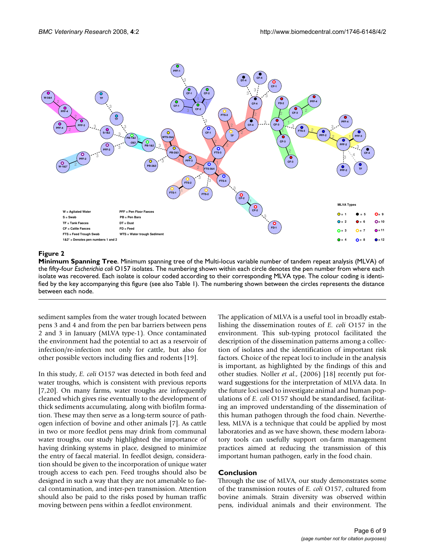

# **Figure 2**

**Minimum Spanning Tree**. Minimum spanning tree of the Multi-locus variable number of tandem repeat analysis (MLVA) of the fifty-four *Escherichia coli* O157 isolates. The numbering shown within each circle denotes the pen number from where each isolate was recovered. Each isolate is colour coded according to their corresponding MLVA type. The colour coding is identified by the key accompanying this figure (see also Table 1). The numbering shown between the circles represents the distance between each node.

sediment samples from the water trough located between pens 3 and 4 and from the pen bar barriers between pens 2 and 3 in January (MLVA type-1). Once contaminated the environment had the potential to act as a reservoir of infection/re-infection not only for cattle, but also for other possible vectors including flies and rodents [19].

In this study, *E. coli* O157 was detected in both feed and water troughs, which is consistent with previous reports [7,20]. On many farms, water troughs are infrequently cleaned which gives rise eventually to the development of thick sediments accumulating, along with biofilm formation. These may then serve as a long-term source of pathogen infection of bovine and other animals [7]. As cattle in two or more feedlot pens may drink from communal water troughs, our study highlighted the importance of having drinking systems in place, designed to minimize the entry of faecal material. In feedlot design, consideration should be given to the incorporation of unique water trough access to each pen. Feed troughs should also be designed in such a way that they are not amenable to faecal contamination, and inter-pen transmission. Attention should also be paid to the risks posed by human traffic moving between pens within a feedlot environment.

The application of MLVA is a useful tool in broadly establishing the dissemination routes of *E. coli* O157 in the environment. This sub-typing protocol facilitated the description of the dissemination patterns among a collection of isolates and the identification of important risk factors. Choice of the repeat loci to include in the analysis is important, as highlighted by the findings of this and other studies. Noller *et al*., (2006) [18] recently put forward suggestions for the interpretation of MLVA data. In the future loci used to investigate animal and human populations of *E. coli* O157 should be standardised, facilitating an improved understanding of the dissemination of this human pathogen through the food chain. Nevertheless, MLVA is a technique that could be applied by most laboratories and as we have shown, these modern laboratory tools can usefully support on-farm management practices aimed at reducing the transmission of this important human pathogen, early in the food chain.

# **Conclusion**

Through the use of MLVA, our study demonstrates some of the transmission routes of *E. coli* O157, cultured from bovine animals. Strain diversity was observed within pens, individual animals and their environment. The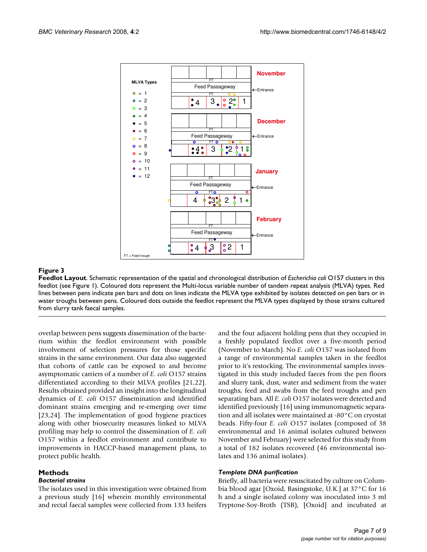

# **Figure 3**

**Feedlot Layout**. Schematic representation of the spatial and chronological distribution of *Escherichia coli* O157 clusters in this feedlot (see Figure 1). Coloured dots represent the Multi-locus variable number of tandem repeat analysis (MLVA) types. Red lines between pens indicate pen bars and dots on lines indicate the MLVA type exhibited by isolates detected on pen bars or in water troughs between pens. Coloured dots outside the feedlot represent the MLVA types displayed by those strains cultured from slurry tank faecal samples.

overlap between pens suggests dissemination of the bacterium within the feedlot environment with possible involvement of selection pressures for those specific strains in the same environment. Our data also suggested that cohorts of cattle can be exposed to and become asymptomatic carriers of a number of *E. coli* O157 strains differentiated according to their MLVA profiles [21,22]. Results obtained provided an insight into the longitudinal dynamics of *E. coli* O157 dissemination and identified dominant strains emerging and re-emerging over time [23,24]. The implementation of good hygiene practices along with other biosecurity measures linked to MLVA profiling may help to control the dissemination of *E. coli* O157 within a feedlot environment and contribute to improvements in HACCP-based management plans, to protect public health.

# **Methods**

# *Bacterial strains*

The isolates used in this investigation were obtained from a previous study [16] wherein monthly environmental and rectal faecal samples were collected from 133 heifers and the four adjacent holding pens that they occupied in a freshly populated feedlot over a five-month period (November to March). No *E. coli* O157 was isolated from a range of environmental samples taken in the feedlot prior to it's restocking. The environmental samples investigated in this study included faeces from the pen floors and slurry tank, dust, water and sediment from the water troughs, feed and swabs from the feed troughs and pen separating bars. All *E. coli* O157 isolates were detected and identified previously [16] using immunomagnetic separation and all isolates were maintained at -80°C on cryostat beads. Fifty-four *E. coli* O157 isolates (composed of 38 environmental and 16 animal isolates cultured between November and February) were selected for this study from a total of 182 isolates recovered (46 environmental isolates and 136 animal isolates).

# *Template DNA purification*

Briefly, all bacteria were resuscitated by culture on Columbia blood agar [Oxoid, Basingstoke, U.K.] at 37°C for 16 h and a single isolated colony was inoculated into 3 ml Tryptone-Soy-Broth (TSB), [Oxoid] and incubated at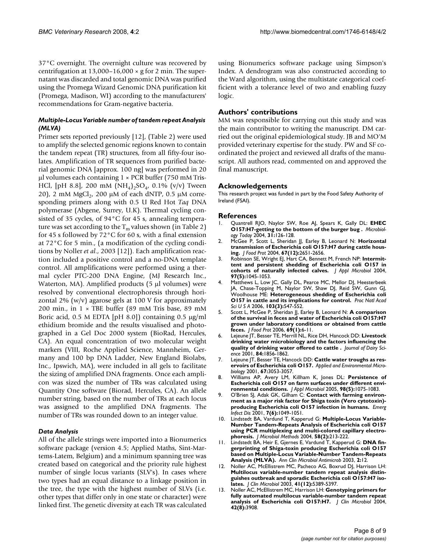37°C overnight. The overnight culture was recovered by centrifugation at  $13,000-16,000 \times g$  for 2 min. The supernatant was discarded and total genomic DNA was purified using the Promega Wizard Genomic DNA purification kit (Promega, Madison, WI) according to the manufacturers' recommendations for Gram-negative bacteria.

#### *Multiple-Locus Variable number of tandem repeat Analysis (MLVA)*

Primer sets reported previously [12], (Table 2) were used to amplify the selected genomic regions known to contain the tandem repeat (TR) structures, from all fifty-four isolates. Amplification of TR sequences from purified bacterial genomic DNA [approx. 100 ng] was performed in 20 μl volumes each containing 1 × PCR buffer (750 mM Tris-HCl, [pH 8.8], 200 mM (NH<sub>4</sub>)<sub>2</sub>SO<sub>4</sub>, 0.1% (v/v) Tween 20), 2 mM MgCl<sub>2</sub>, 200 μM of each dNTP, 0.5 μM corresponding primers along with 0.5 U Red Hot *Taq* DNA polymerase (Abgene, Surrey, U.K). Thermal cycling consisted of 35 cycles, of 94°C for 45 s, annealing temperature was set according to the  $T_m$  values shown (in Table 2) for 45 s followed by 72°C for 60 s, with a final extension at 72°C for 5 min., (a modification of the cycling conditions by Noller *et al*., 2003 [12]). Each amplification reaction included a positive control and a no-DNA template control. All amplifications were performed using a thermal cycler PTC-200 DNA Engine, (MJ Research Inc., Waterton, MA). Amplified products (5 μl volumes) were resolved by conventional electrophoresis through horizontal 2% (w/v) agarose gels at 100 V for approximately 200 min., in  $1 \times$  TBE buffer (89 mM Tris base, 89 mM Boric acid, 0.5 M EDTA [pH 8.0]) containing 0.5 μg/ml ethidium bromide and the results visualised and photographed in a Gel Doc 2000 system (BioRad, Hercules, CA). An equal concentration of two molecular weight markers (VIII, Roche Applied Science, Mannheim, Germany and 100 bp DNA Ladder, New England Biolabs, Inc., Ipswich, MA), were included in all gels to facilitate the sizing of amplified DNA fragments. Once each amplicon was sized the number of TRs was calculated using Quantity One software (Biorad, Hercules, CA). An allele number string, based on the number of TRs at each locus was assigned to the amplified DNA fragments. The number of TRs was rounded down to an integer value.

#### *Data Analysis*

All of the allele strings were imported into a Bionumerics software package (version 4.5; Applied Maths, Sint-Martems-Latem, Belgium) and a minimum spanning tree was created based on categorical and the priority rule highest number of single locus variants (SLV's). In cases where two types had an equal distance to a linkage position in the tree, the type with the highest number of SLVs (i.e. other types that differ only in one state or character) were linked first. The genetic diversity at each TR was calculated using Bionumerics software package using Simpson's Index. A dendrogram was also constructed according to the Ward algorithm, using the multistate categorical coefficient with a tolerance level of two and enabling fuzzy logic.

# **Authors' contributions**

MM was responsible for carrying out this study and was the main contributor to writing the manuscript. DM carried out the original epidemiological study. JB and MO'M provided veterinary expertise for the study. PW and SF coordinated the project and reviewed all drafts of the manuscript. All authors read, commented on and approved the final manuscript.

#### **Acknowledgements**

This research project was funded in part by the Food Safety Authority of Ireland (FSAI).

#### **References**

- 1. Quantrell RJO, Naylor SW, Roe AJ, Spears K, Gally DL: **EHEC O157:H7-getting to the bottom of the burger bug .** *Microbiology Today* 2004, **31:**126-128.
- 2. McGee P, Scott L, Sheridan JJ, Earley B, Leonard N: **[Horizontal](http://www.ncbi.nlm.nih.gov/entrez/query.fcgi?cmd=Retrieve&db=PubMed&dopt=Abstract&list_uids=15633666) [transmission of Escherichia coli O157:H7 during cattle hous](http://www.ncbi.nlm.nih.gov/entrez/query.fcgi?cmd=Retrieve&db=PubMed&dopt=Abstract&list_uids=15633666)[ing.](http://www.ncbi.nlm.nih.gov/entrez/query.fcgi?cmd=Retrieve&db=PubMed&dopt=Abstract&list_uids=15633666)** *J Food Prot* 2004, **67(12):**2651-2656.
- 3. Robinson SE, Wright EJ, Hart CA, Bennett M, French NP: **[Intermit](http://www.ncbi.nlm.nih.gov/entrez/query.fcgi?cmd=Retrieve&db=PubMed&dopt=Abstract&list_uids=15479421)[tent and persistent shedding of Escherichia coli O157 in](http://www.ncbi.nlm.nih.gov/entrez/query.fcgi?cmd=Retrieve&db=PubMed&dopt=Abstract&list_uids=15479421) [cohorts of naturally infected calves.](http://www.ncbi.nlm.nih.gov/entrez/query.fcgi?cmd=Retrieve&db=PubMed&dopt=Abstract&list_uids=15479421)** *J Appl Microbiol* 2004, **97(5):**1045-1053.
- 4. Matthews L, Low JC, Gally DL, Pearce MC, Mellor DJ, Heesterbeek JA, Chase-Topping M, Naylor SW, Shaw DJ, Reid SW, Gunn GJ, Woolhouse ME: **[Heterogeneous shedding of Escherichia coli](http://www.ncbi.nlm.nih.gov/entrez/query.fcgi?cmd=Retrieve&db=PubMed&dopt=Abstract&list_uids=16407143) [O157 in cattle and its implications for control.](http://www.ncbi.nlm.nih.gov/entrez/query.fcgi?cmd=Retrieve&db=PubMed&dopt=Abstract&list_uids=16407143)** *Proc Natl Acad Sci U S A* 2006, **103(3):**547-552.
- 5. Scott L, McGee P, Sheridan JJ, Earley B, Leonard N: **[A comparison](http://www.ncbi.nlm.nih.gov/entrez/query.fcgi?cmd=Retrieve&db=PubMed&dopt=Abstract&list_uids=16416893) [of the survival in feces and water of Escherichia coli O157:H7](http://www.ncbi.nlm.nih.gov/entrez/query.fcgi?cmd=Retrieve&db=PubMed&dopt=Abstract&list_uids=16416893) grown under laboratory conditions or obtained from cattle [feces.](http://www.ncbi.nlm.nih.gov/entrez/query.fcgi?cmd=Retrieve&db=PubMed&dopt=Abstract&list_uids=16416893)** *J Food Prot* 2006, **69(1):**6-11.
- 6. Lejeune JT, Besser TE, Merrill NL, Rice DH, Hancock DD: **[Livestock](http://www.ncbi.nlm.nih.gov/entrez/query.fcgi?cmd=Retrieve&db=PubMed&dopt=Abstract&list_uids=11518311) [drinking water microbiology and the factors influencing the](http://www.ncbi.nlm.nih.gov/entrez/query.fcgi?cmd=Retrieve&db=PubMed&dopt=Abstract&list_uids=11518311) [quality of drinking water offered to cattle .](http://www.ncbi.nlm.nih.gov/entrez/query.fcgi?cmd=Retrieve&db=PubMed&dopt=Abstract&list_uids=11518311)** *Journal of Dairy Science* 2001, **84:**1856-1862.
- 7. Lejeune JT, Besser TE, Hancock DD: **Cattle water troughs as reservoirs of Escherichia coli O157.** *Applied and Environmental Microbiology* 2001, **67:**3053-3057.
- 8. Williams AP, Avery LM, Killham K, Jones DL: **[Persistence of](http://www.ncbi.nlm.nih.gov/entrez/query.fcgi?cmd=Retrieve&db=PubMed&dopt=Abstract&list_uids=15836476) [Escherichia coli O157 on farm surfaces under different envi](http://www.ncbi.nlm.nih.gov/entrez/query.fcgi?cmd=Retrieve&db=PubMed&dopt=Abstract&list_uids=15836476)[ronmental conditions.](http://www.ncbi.nlm.nih.gov/entrez/query.fcgi?cmd=Retrieve&db=PubMed&dopt=Abstract&list_uids=15836476)** *J Appl Microbiol* 2005, **98(5):**1075-1083.
- 9. O'Brien SJ, Adak GK, Gilham C: **[Contact with farming environ](http://www.ncbi.nlm.nih.gov/entrez/query.fcgi?cmd=Retrieve&db=PubMed&dopt=Abstract&list_uids=11747741)[ment as a major risk factor for Shiga toxin \(Vero cytotoxin\)](http://www.ncbi.nlm.nih.gov/entrez/query.fcgi?cmd=Retrieve&db=PubMed&dopt=Abstract&list_uids=11747741) [producing Escherichia coli O157 infection in humans.](http://www.ncbi.nlm.nih.gov/entrez/query.fcgi?cmd=Retrieve&db=PubMed&dopt=Abstract&list_uids=11747741)** *Emerg Infect Dis* 2001, **7(6):**1049-1051.
- 10. Lindstedt BA, Vardund T, Kapperud G: **[Multiple-Locus Variable-](http://www.ncbi.nlm.nih.gov/entrez/query.fcgi?cmd=Retrieve&db=PubMed&dopt=Abstract&list_uids=15234519)[Number Tandem-Repeats Analysis of Escherichia coli O157](http://www.ncbi.nlm.nih.gov/entrez/query.fcgi?cmd=Retrieve&db=PubMed&dopt=Abstract&list_uids=15234519) using PCR multiplexing and multi-colored capillary electro[phoresis.](http://www.ncbi.nlm.nih.gov/entrez/query.fcgi?cmd=Retrieve&db=PubMed&dopt=Abstract&list_uids=15234519)** *J Microbiol Methods* 2004, **58(2):**213-222.
- 11. Lindstedt BA, Heir E, Gjernes E, Vardund T, Kapperud G: **[DNA fin](http://www.ncbi.nlm.nih.gov/entrez/query.fcgi?cmd=Retrieve&db=PubMed&dopt=Abstract&list_uids=14664722)[gerprinting of Shiga-toxin producing Escherichia coli O157](http://www.ncbi.nlm.nih.gov/entrez/query.fcgi?cmd=Retrieve&db=PubMed&dopt=Abstract&list_uids=14664722) based on Multiple-Locus Variable-Number Tandem-Repeats [Analysis \(MLVA\).](http://www.ncbi.nlm.nih.gov/entrez/query.fcgi?cmd=Retrieve&db=PubMed&dopt=Abstract&list_uids=14664722)** *Ann Clin Microbiol Antimicrob* 2003, **2:**12.
- 12. Noller AC, McEllistrem MC, Pacheco AG, Boxrud DJ, Harrison LH: **[Multilocus variable-number tandem repeat analysis distin](http://www.ncbi.nlm.nih.gov/entrez/query.fcgi?cmd=Retrieve&db=PubMed&dopt=Abstract&list_uids=14662916)guishes outbreak and sporadic Escherichia coli O157:H7 iso[lates.](http://www.ncbi.nlm.nih.gov/entrez/query.fcgi?cmd=Retrieve&db=PubMed&dopt=Abstract&list_uids=14662916)** *J Clin Microbiol* 2003, **41(12):**5389-5397.
- 13. Noller AC, McEllistrem MC, Harrison LH: **[Genotyping primers for](http://www.ncbi.nlm.nih.gov/entrez/query.fcgi?cmd=Retrieve&db=PubMed&dopt=Abstract&list_uids=15297566) [fully automated multilocus variable-number tandem repeat](http://www.ncbi.nlm.nih.gov/entrez/query.fcgi?cmd=Retrieve&db=PubMed&dopt=Abstract&list_uids=15297566) [analysis of Escherichia coli O157:H7.](http://www.ncbi.nlm.nih.gov/entrez/query.fcgi?cmd=Retrieve&db=PubMed&dopt=Abstract&list_uids=15297566)** *J Clin Microbiol* 2004, **42(8):**3908.